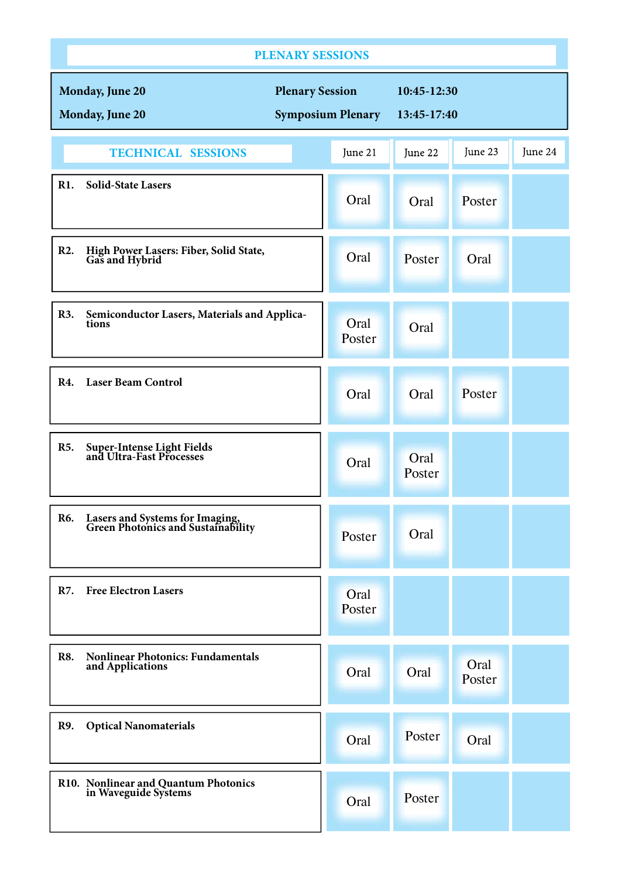| <b>PLENARY SESSIONS</b>                                                      |                                                    |                            |                |         |  |  |  |  |
|------------------------------------------------------------------------------|----------------------------------------------------|----------------------------|----------------|---------|--|--|--|--|
| Monday, June 20<br>Monday, June 20                                           | <b>Plenary Session</b><br><b>Symposium Plenary</b> | 10:45-12:30<br>13:45-17:40 |                |         |  |  |  |  |
| <b>TECHNICAL SESSIONS</b>                                                    | June 21                                            | June 22                    | June 23        | June 24 |  |  |  |  |
| <b>Solid-State Lasers</b><br>R1.                                             | Oral                                               | Oral                       | Poster         |         |  |  |  |  |
| R <sub>2</sub> .<br>High Power Lasers: Fiber, Solid State,<br>Gas and Hybrid | Oral                                               | Poster                     | Oral           |         |  |  |  |  |
| R3.<br>Semiconductor Lasers, Materials and Applica-<br>tions                 | Oral<br>Poster                                     | Oral                       |                |         |  |  |  |  |
| <b>Laser Beam Control</b><br><b>R4.</b>                                      | Oral                                               | Oral                       | Poster         |         |  |  |  |  |
| <b>R5.</b><br><b>Super-Intense Light Fields<br/>and Ultra-Fast Processes</b> | Oral                                               | Oral<br>Poster             |                |         |  |  |  |  |
| Lasers and Systems for Imaging,<br>Green Photonics and Sustainability<br>R6. | Poster                                             | Oral                       |                |         |  |  |  |  |
| <b>Free Electron Lasers</b><br><b>R7.</b>                                    | Oral<br>Poster                                     |                            |                |         |  |  |  |  |
| <b>Nonlinear Photonics: Fundamentals</b><br><b>R8.</b><br>and Applications   | Oral                                               | Oral                       | Oral<br>Poster |         |  |  |  |  |
| <b>R9.</b><br><b>Optical Nanomaterials</b>                                   | Oral                                               | Poster                     | Oral           |         |  |  |  |  |
| R10. Nonlinear and Quantum Photonics<br>in Waveguide Systems                 | Oral                                               | Poster                     |                |         |  |  |  |  |